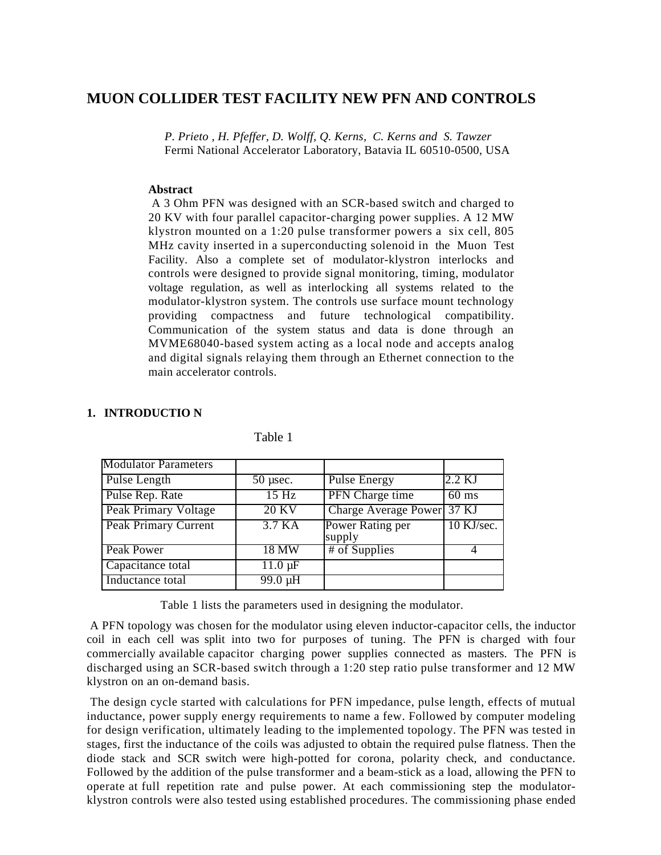# **MUON COLLIDER TEST FACILITY NEW PFN AND CONTROLS**

*P. Prieto , H. Pfeffer, D. Wolff, Q. Kerns, C. Kerns and S. Tawzer* Fermi National Accelerator Laboratory, Batavia IL 60510-0500, USA

#### **Abstract**

 A 3 Ohm PFN was designed with an SCR-based switch and charged to 20 KV with four parallel capacitor-charging power supplies. A 12 MW klystron mounted on a 1:20 pulse transformer powers a six cell, 805 MHz cavity inserted in a superconducting solenoid in the Muon Test Facility. Also a complete set of modulator-klystron interlocks and controls were designed to provide signal monitoring, timing, modulator voltage regulation, as well as interlocking all systems related to the modulator-klystron system. The controls use surface mount technology providing compactness and future technological compatibility. Communication of the system status and data is done through an MVME68040-based system acting as a local node and accepts analog and digital signals relaying them through an Ethernet connection to the main accelerator controls.

## **1. INTRODUCTIO N**

| <b>Modulator Parameters</b> |                           |                            |                 |
|-----------------------------|---------------------------|----------------------------|-----------------|
| Pulse Length                | $50$ µsec.                | <b>Pulse Energy</b>        | $2.2$ KJ        |
| Pulse Rep. Rate             | 15 Hz                     | PFN Charge time            | $60 \text{ ms}$ |
| Peak Primary Voltage        | <b>20 KV</b>              | Charge Average Power 37 KJ |                 |
| Peak Primary Current        | 3.7 KA                    | Power Rating per<br>supply | 10 KJ/sec.      |
| Peak Power                  | 18 MW                     | # of Supplies              |                 |
| Capacitance total           | $11.0 \,\mathrm{\upmu F}$ |                            |                 |
| Inductance total            | $99.0 \mu H$              |                            |                 |

#### Table 1

Table 1 lists the parameters used in designing the modulator.

 A PFN topology was chosen for the modulator using eleven inductor-capacitor cells, the inductor coil in each cell was split into two for purposes of tuning. The PFN is charged with four commercially available capacitor charging power supplies connected as masters. The PFN is discharged using an SCR-based switch through a 1:20 step ratio pulse transformer and 12 MW klystron on an on-demand basis.

 The design cycle started with calculations for PFN impedance, pulse length, effects of mutual inductance, power supply energy requirements to name a few. Followed by computer modeling for design verification, ultimately leading to the implemented topology. The PFN was tested in stages, first the inductance of the coils was adjusted to obtain the required pulse flatness. Then the diode stack and SCR switch were high-potted for corona, polarity check, and conductance. Followed by the addition of the pulse transformer and a beam-stick as a load, allowing the PFN to operate at full repetition rate and pulse power. At each commissioning step the modulatorklystron controls were also tested using established procedures. The commissioning phase ended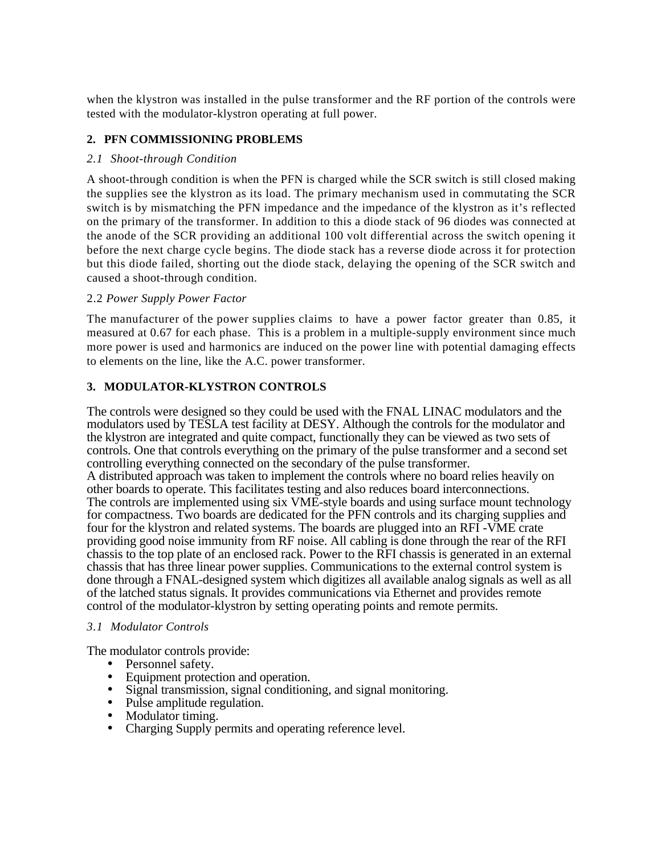when the klystron was installed in the pulse transformer and the RF portion of the controls were tested with the modulator-klystron operating at full power.

## **2. PFN COMMISSIONING PROBLEMS**

## *2.1 Shoot-through Condition*

A shoot-through condition is when the PFN is charged while the SCR switch is still closed making the supplies see the klystron as its load. The primary mechanism used in commutating the SCR switch is by mismatching the PFN impedance and the impedance of the klystron as it's reflected on the primary of the transformer. In addition to this a diode stack of 96 diodes was connected at the anode of the SCR providing an additional 100 volt differential across the switch opening it before the next charge cycle begins. The diode stack has a reverse diode across it for protection but this diode failed, shorting out the diode stack, delaying the opening of the SCR switch and caused a shoot-through condition.

## 2.2 *Power Supply Power Factor*

The manufacturer of the power supplies claims to have a power factor greater than 0.85, it measured at 0.67 for each phase. This is a problem in a multiple-supply environment since much more power is used and harmonics are induced on the power line with potential damaging effects to elements on the line, like the A.C. power transformer.

## **3. MODULATOR-KLYSTRON CONTROLS**

The controls were designed so they could be used with the FNAL LINAC modulators and the modulators used by TESLA test facility at DESY. Although the controls for the modulator and the klystron are integrated and quite compact, functionally they can be viewed as two sets of controls. One that controls everything on the primary of the pulse transformer and a second set controlling everything connected on the secondary of the pulse transformer. A distributed approach was taken to implement the controls where no board relies heavily on other boards to operate. This facilitates testing and also reduces board interconnections. The controls are implemented using six VME-style boards and using surface mount technology for compactness. Two boards are dedicated for the PFN controls and its charging supplies and four for the klystron and related systems. The boards are plugged into an RFI -VME crate providing good noise immunity from RF noise. All cabling is done through the rear of the RFI chassis to the top plate of an enclosed rack. Power to the RFI chassis is generated in an external chassis that has three linear power supplies. Communications to the external control system is done through a FNAL-designed system which digitizes all available analog signals as well as all of the latched status signals. It provides communications via Ethernet and provides remote control of the modulator-klystron by setting operating points and remote permits.

## *3.1 Modulator Controls*

The modulator controls provide:

- Personnel safety.
- Equipment protection and operation.
- Signal transmission, signal conditioning, and signal monitoring.
- Pulse amplitude regulation.
- Modulator timing.
- Charging Supply permits and operating reference level.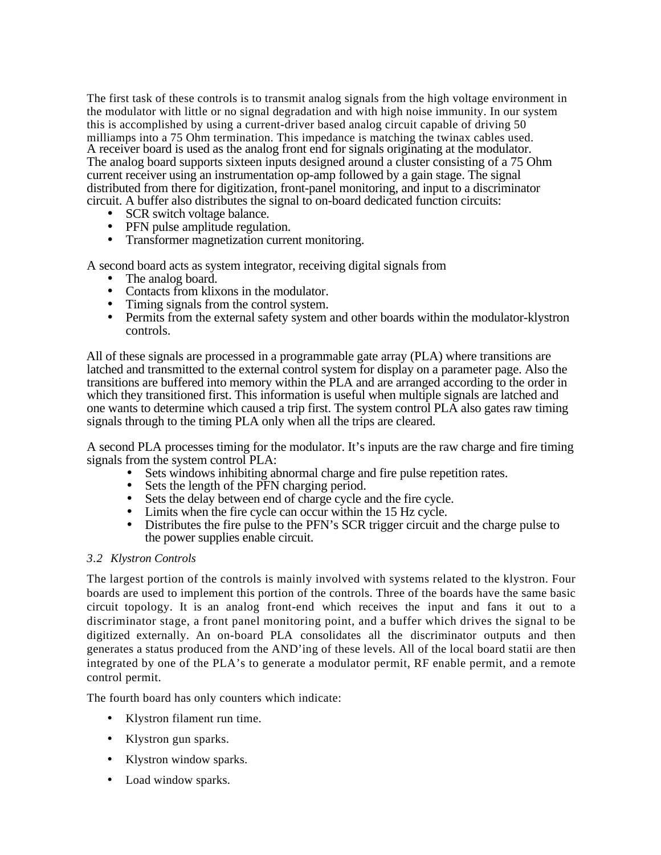The first task of these controls is to transmit analog signals from the high voltage environment in the modulator with little or no signal degradation and with high noise immunity. In our system this is accomplished by using a current-driver based analog circuit capable of driving 50 milliamps into a 75 Ohm termination. This impedance is matching the twinax cables used. A receiver board is used as the analog front end for signals originating at the modulator. The analog board supports sixteen inputs designed around a cluster consisting of a 75 Ohm current receiver using an instrumentation op-amp followed by a gain stage. The signal distributed from there for digitization, front-panel monitoring, and input to a discriminator circuit. A buffer also distributes the signal to on-board dedicated function circuits:

- SCR switch voltage balance.
- PFN pulse amplitude regulation.
- Transformer magnetization current monitoring.

A second board acts as system integrator, receiving digital signals from

- The analog board.
- Contacts from klixons in the modulator.<br>• Timing signals from the control system
- Timing signals from the control system.
- Permits from the external safety system and other boards within the modulator-klystron controls.

 All of these signals are processed in a programmable gate array (PLA) where transitions are latched and transmitted to the external control system for display on a parameter page. Also the transitions are buffered into memory within the PLA and are arranged according to the order in which they transitioned first. This information is useful when multiple signals are latched and one wants to determine which caused a trip first. The system control PLA also gates raw timing signals through to the timing PLA only when all the trips are cleared.

A second PLA processes timing for the modulator. It's inputs are the raw charge and fire timing signals from the system control PLA:

- Sets windows inhibiting abnormal charge and fire pulse repetition rates.
- Sets the length of the PFN charging period.
- Sets the delay between end of charge cycle and the fire cycle.
- Limits when the fire cycle can occur within the 15 Hz cycle.
- Distributes the fire pulse to the PFN's SCR trigger circuit and the charge pulse to the power supplies enable circuit.

## *3.2 Klystron Controls*

The largest portion of the controls is mainly involved with systems related to the klystron. Four boards are used to implement this portion of the controls. Three of the boards have the same basic circuit topology. It is an analog front-end which receives the input and fans it out to a discriminator stage, a front panel monitoring point, and a buffer which drives the signal to be digitized externally. An on-board PLA consolidates all the discriminator outputs and then generates a status produced from the AND'ing of these levels. All of the local board statii are then integrated by one of the PLA's to generate a modulator permit, RF enable permit, and a remote control permit.

The fourth board has only counters which indicate:

- Klystron filament run time.
- Klystron gun sparks.
- Klystron window sparks.
- Load window sparks.